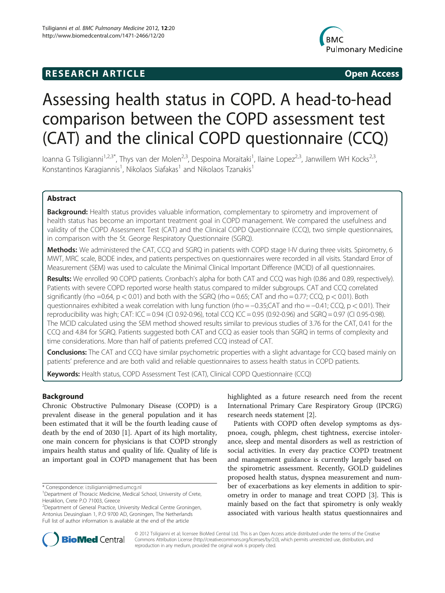## **RESEARCH ARTICLE Example 2014 12:30 The SEARCH ARTICLE**



# Assessing health status in COPD. A head-to-head comparison between the COPD assessment test (CAT) and the clinical COPD questionnaire (CCQ)

Ioanna G Tsiligianni<sup>1,2,3\*</sup>, Thys van der Molen<sup>2,3</sup>, Despoina Moraitaki<sup>1</sup>, Ilaine Lopez<sup>2,3</sup>, Janwillem WH Kocks<sup>2,3</sup>, Konstantinos Karagiannis<sup>1</sup>, Nikolaos Siafakas<sup>1</sup> and Nikolaos Tzanakis<sup>1</sup>

## Abstract

Background: Health status provides valuable information, complementary to spirometry and improvement of health status has become an important treatment goal in COPD management. We compared the usefulness and validity of the COPD Assessment Test (CAT) and the Clinical COPD Questionnaire (CCQ), two simple questionnaires, in comparison with the St. George Respiratory Questionnaire (SGRQ).

Methods: We administered the CAT, CCQ and SGRQ in patients with COPD stage I-IV during three visits. Spirometry, 6 MWT, MRC scale, BODE index, and patients perspectives on questionnaires were recorded in all visits. Standard Error of Measurement (SEM) was used to calculate the Minimal Clinical Important Difference (MCID) of all questionnaires.

Results: We enrolled 90 COPD patients. Cronbach's alpha for both CAT and CCQ was high (0.86 and 0.89, respectively). Patients with severe COPD reported worse health status compared to milder subgroups. CAT and CCQ correlated significantly (rho =0.64,  $p < 0.01$ ) and both with the SGRQ (rho = 0.65; CAT and rho = 0.77; CCQ,  $p < 0.01$ ). Both questionnaires exhibited a weak correlation with lung function (rho = −0.35;CAT and rho = −0.41; CCQ,  $p$  < 0.01). Their reproducibility was high; CAT: ICC = 0.94 (CI 0.92-0.96), total CCQ ICC = 0.95 (0.92-0.96) and SGRQ = 0.97 (CI 0.95-0.98). The MCID calculated using the SEM method showed results similar to previous studies of 3.76 for the CAT, 0.41 for the CCQ and 4.84 for SGRQ. Patients suggested both CAT and CCQ as easier tools than SGRQ in terms of complexity and time considerations. More than half of patients preferred CCQ instead of CAT.

Conclusions: The CAT and CCQ have similar psychometric properties with a slight advantage for CCQ based mainly on patients' preference and are both valid and reliable questionnaires to assess health status in COPD patients.

Keywords: Health status, COPD Assessment Test (CAT), Clinical COPD Questionnaire (CCQ)

## Background

Chronic Obstructive Pulmonary Disease (COPD) is a prevalent disease in the general population and it has been estimated that it will be the fourth leading cause of death by the end of 2030 [\[1](#page-8-0)]. Apart of its high mortality, one main concern for physicians is that COPD strongly impairs health status and quality of life. Quality of life is an important goal in COPD management that has been

<sup>2</sup> Department of General Practice, University Medical Centre Groningen, Antonius Deusinglaan 1, P.O 9700 AD, Groningen, The Netherlands Full list of author information is available at the end of the article

highlighted as a future research need from the recent International Primary Care Respiratory Group (IPCRG) research needs statement [\[2](#page-8-0)].

Patients with COPD often develop symptoms as dyspnoea, cough, phlegm, chest tightness, exercise intolerance, sleep and mental disorders as well as restriction of social activities. In every day practice COPD treatment and management guidance is currently largely based on the spirometric assessment. Recently, GOLD guidelines proposed health status, dyspnea measurement and number of exacerbations as key elements in addition to spirometry in order to manage and treat COPD [[3\]](#page-8-0). This is mainly based on the fact that spirometry is only weakly associated with various health status questionnaires and



© 2012 Tsiligianni et al; licensee BioMed Central Ltd. This is an Open Access article distributed under the terms of the Creative Commons Attribution License ([http://creativecommons.org/licenses/by/2.0\)](http://creativecommons.org/licenses/by/2.0), which permits unrestricted use, distribution, and reproduction in any medium, provided the original work is properly cited.

<sup>\*</sup> Correspondence: [i.tsiligianni@med.umcg.nl](mailto:i.tsiligianni@med.umcg.nl ) <sup>1</sup>

<sup>&</sup>lt;sup>1</sup>Department of Thoracic Medicine, Medical School, University of Crete, Heraklion, Crete P.O 71003, Greece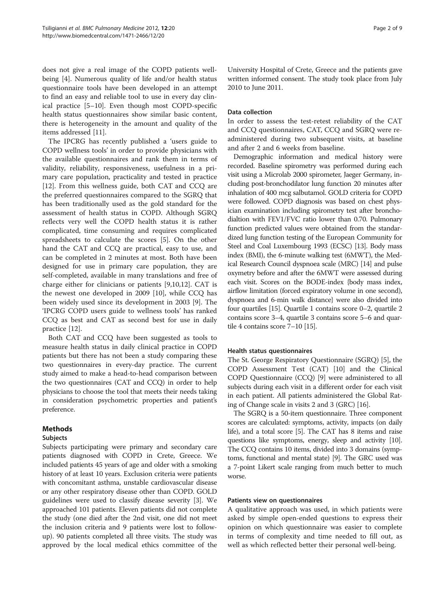does not give a real image of the COPD patients wellbeing [[4\]](#page-8-0). Numerous quality of life and/or health status questionnaire tools have been developed in an attempt to find an easy and reliable tool to use in every day clinical practice [[5](#page-8-0)–[10](#page-8-0)]. Even though most COPD-specific health status questionnaires show similar basic content, there is heterogeneity in the amount and quality of the items addressed [[11](#page-8-0)].

The IPCRG has recently published a 'users guide to COPD wellness tools' in order to provide physicians with the available questionnaires and rank them in terms of validity, reliability, responsiveness, usefulness in a primary care population, practicality and tested in practice [[12\]](#page-8-0). From this wellness guide, both CAT and CCQ are the preferred questionnaires compared to the SGRQ that has been traditionally used as the gold standard for the assessment of health status in COPD. Although SGRQ reflects very well the COPD health status it is rather complicated, time consuming and requires complicated spreadsheets to calculate the scores [[5\]](#page-8-0). On the other hand the CAT and CCQ are practical, easy to use, and can be completed in 2 minutes at most. Both have been designed for use in primary care population, they are self-completed, available in many translations and free of charge either for clinicians or patients [\[9,10,12\]](#page-8-0). CAT is the newest one developed in 2009 [[10](#page-8-0)], while CCQ has been widely used since its development in 2003 [[9\]](#page-8-0). The 'IPCRG COPD users guide to wellness tools' has ranked CCQ as best and CAT as second best for use in daily practice [[12\]](#page-8-0).

Both CAT and CCQ have been suggested as tools to measure health status in daily clinical practice in COPD patients but there has not been a study comparing these two questionnaires in every-day practice. The current study aimed to make a head-to-head comparison between the two questionnaires (CAT and CCQ) in order to help physicians to choose the tool that meets their needs taking in consideration psychometric properties and patient's preference.

## Methods

## Subjects

Subjects participating were primary and secondary care patients diagnosed with COPD in Crete, Greece. We included patients 45 years of age and older with a smoking history of at least 10 years. Exclusion criteria were patients with concomitant asthma, unstable cardiovascular disease or any other respiratory disease other than COPD. GOLD guidelines were used to classify disease severity [\[3\]](#page-8-0). We approached 101 patients. Eleven patients did not complete the study (one died after the 2nd visit, one did not meet the inclusion criteria and 9 patients were lost to followup). 90 patients completed all three visits. The study was approved by the local medical ethics committee of the

University Hospital of Crete, Greece and the patients gave written informed consent. The study took place from July 2010 to June 2011.

#### Data collection

In order to assess the test-retest reliability of the CAT and CCQ questionnaires, CAT, CCQ and SGRQ were readministered during two subsequent visits, at baseline and after 2 and 6 weeks from baseline.

Demographic information and medical history were recorded. Baseline spirometry was performed during each visit using a Microlab 2000 spirometer, Jaeger Germany, including post-bronchodilator lung function 20 minutes after inhalation of 400 mcg salbutamol. GOLD criteria for COPD were followed. COPD diagnosis was based on chest physician examination including spirometry test after bronchodialtion with FEV1/FVC ratio lower than 0.70. Pulmonary function predicted values were obtained from the standardized lung function testing of the European Community for Steel and Coal Luxembourg 1993 (ECSC) [[13](#page-8-0)]. Body mass index (BMI), the 6-minute walking test (6MWT), the Medical Research Council dyspnoea scale (MRC) [[14\]](#page-8-0) and pulse oxymetry before and after the 6MWT were assessed during each visit. Scores on the BODE-index {body mass index, airflow limitation (forced expiratory volume in one second), dyspnoea and 6-min walk distance} were also divided into four quartiles [[15](#page-8-0)]. Quartile 1 contains score 0–2, quartile 2 contains score 3–4, quartile 3 contains score 5–6 and quartile 4 contains score 7–10 [\[15](#page-8-0)].

## Health status questionnaires

The St. George Respiratory Questionnaire (SGRQ) [\[5\]](#page-8-0), the COPD Assessment Test (CAT) [\[10\]](#page-8-0) and the Clinical COPD Questionnaire (CCQ) [\[9](#page-8-0)] were administered to all subjects during each visit in a different order for each visit in each patient. All patients administered the Global Rating of Change scale in visits 2 and 3 (GRC) [\[16\]](#page-8-0).

The SGRQ is a 50-item questionnaire. Three component scores are calculated: symptoms, activity, impacts (on daily life), and a total score [\[5](#page-8-0)]. The CAT has 8 items and raise questions like symptoms, energy, sleep and activity [\[10](#page-8-0)]. The CCQ contains 10 items, divided into 3 domains (symptoms, functional and mental state) [[9](#page-8-0)]. The GRC used was a 7-point Likert scale ranging from much better to much worse.

#### Patients view on questionnaires

A qualitative approach was used, in which patients were asked by simple open-ended questions to express their opinion on which questionnaire was easier to complete in terms of complexity and time needed to fill out, as well as which reflected better their personal well-being.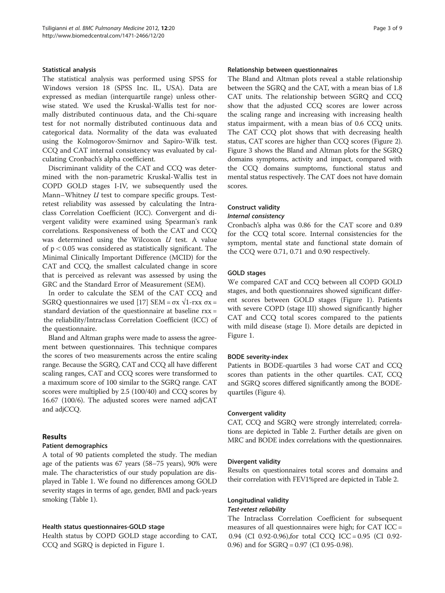#### Statistical analysis

The statistical analysis was performed using SPSS for Windows version 18 (SPSS Inc. IL, USA). Data are expressed as median (interquartile range) unless otherwise stated. We used the Kruskal-Wallis test for normally distributed continuous data, and the Chi-square test for not normally distributed continuous data and categorical data. Normality of the data was evaluated using the Kolmogorov-Smirnov and Sapiro-Wilk test. CCQ and CAT internal consistency was evaluated by calculating Cronbach's alpha coefficient.

Discriminant validity of the CAT and CCQ was determined with the non-parametric Kruskal-Wallis test in COPD GOLD stages I-IV, we subsequently used the Mann–Whitney *U* test to compare specific groups. Testretest reliability was assessed by calculating the Intraclass Correlation Coefficient (ICC). Convergent and divergent validity were examined using Spearman's rank correlations. Responsiveness of both the CAT and CCQ was determined using the Wilcoxon  $U$  test. A value of  $p < 0.05$  was considered as statistically significant. The Minimal Clinically Important Difference (MCID) for the CAT and CCQ, the smallest calculated change in score that is perceived as relevant was assessed by using the GRC and the Standard Error of Measurement (SEM).

In order to calculate the SEM of the CAT CCQ and SGRQ questionnaires we used [[17\]](#page-8-0) SEM = σx  $\sqrt{1-r}$ xx σx = standard deviation of the questionnaire at baseline rxx = the reliability/Intraclass Correlation Coefficient (ICC) of the questionnaire.

Bland and Altman graphs were made to assess the agreement between questionnaires. This technique compares the scores of two measurements across the entire scaling range. Because the SGRQ, CAT and CCQ all have different scaling ranges, CAT and CCQ scores were transformed to a maximum score of 100 similar to the SGRQ range. CAT scores were multiplied by 2.5 (100/40) and CCQ scores by 16.67 (100/6). The adjusted scores were named adjCAT and adjCCQ.

## Results

## Patient demographics

A total of 90 patients completed the study. The median age of the patients was 67 years (58–75 years), 90% were male. The characteristics of our study population are displayed in Table [1](#page-3-0). We found no differences among GOLD severity stages in terms of age, gender, BMI and pack-years smoking (Table [1](#page-3-0)).

## Health status questionnaires-GOLD stage

Health status by COPD GOLD stage according to CAT, CCQ and SGRQ is depicted in Figure [1.](#page-3-0)

#### Relationship between questionnaires

The Bland and Altman plots reveal a stable relationship between the SGRQ and the CAT, with a mean bias of 1.8 CAT units. The relationship between SGRQ and CCQ show that the adjusted CCQ scores are lower across the scaling range and increasing with increasing health status impairment, with a mean bias of 0.6 CCQ units. The CAT CCQ plot shows that with decreasing health status, CAT scores are higher than CCQ scores (Figure [2](#page-4-0)). Figure [3](#page-4-0) shows the Bland and Altman plots for the SGRQ domains symptoms, activity and impact, compared with the CCQ domains sumptoms, functional status and mental status respectively. The CAT does not have domain scores.

#### Construct validity

#### Internal consistency

Cronbach's alpha was 0.86 for the CAT score and 0.89 for the CCQ total score. Internal consistencies for the symptom, mental state and functional state domain of the CCQ were 0.71, 0.71 and 0.90 respectively.

## GOLD stages

We compared CAT and CCQ between all COPD GOLD stages, and both questionnaires showed significant different scores between GOLD stages (Figure [1](#page-3-0)). Patients with severe COPD (stage III) showed significantly higher CAT and CCQ total scores compared to the patients with mild disease (stage I). More details are depicted in Figure [1](#page-3-0).

## BODE severity-index

Patients in BODE-quartiles 3 had worse CAT and CCQ scores than patients in the other quartiles. CAT, CCQ and SGRQ scores differed significantly among the BODEquartiles (Figure [4](#page-5-0)).

#### Convergent validity

CAT, CCQ and SGRQ were strongly interrelated; correlations are depicted in Table [2.](#page-6-0) Further details are given on MRC and BODE index correlations with the questionnaires.

## Divergent validity

Results on questionnaires total scores and domains and their correlation with FEV1%pred are depicted in Table [2](#page-6-0).

## Longitudinal validity

## Test-retest reliability

The Intraclass Correlation Coefficient for subsequent measures of all questionnaires were high; for CAT ICC = 0.94 (CI 0.92-0.96),for total CCQ ICC = 0.95 (CI 0.92- 0.96) and for SGRQ = 0.97 (CI 0.95-0.98).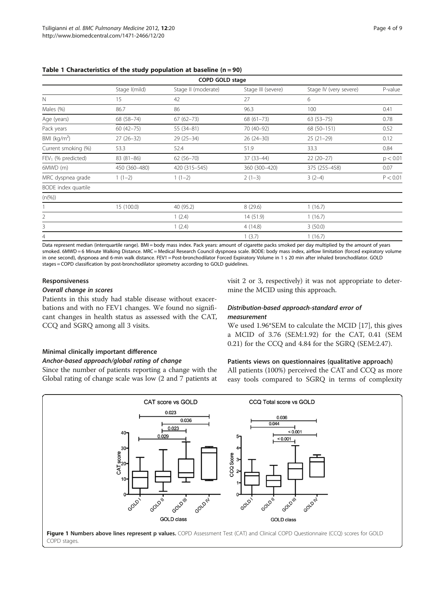| <b>COPD GOLD stage</b> |               |                     |                    |                        |          |  |  |  |  |
|------------------------|---------------|---------------------|--------------------|------------------------|----------|--|--|--|--|
|                        | Stage I(mild) | Stage II (moderate) | Stage III (severe) | Stage IV (very severe) | P-value  |  |  |  |  |
| $\mathbb N$            | 15            | 42                  | 27                 | 6                      |          |  |  |  |  |
| Males (%)              | 86.7          | 86                  | 96.3               | 100                    | 0.41     |  |  |  |  |
| Age (years)            | 68 (58-74)    | $67(62 - 73)$       | $68(61-73)$        | $63(53 - 75)$          | 0.78     |  |  |  |  |
| Pack years             | $60(42-75)$   | $55(34-81)$         | 70 (40-92)         | 68 (50-151)            | 0.52     |  |  |  |  |
| BMI $(kg/m2)$          | $27(26-32)$   | $29(25-34)$         | $26(24-30)$        | $25(21-29)$            | 0.12     |  |  |  |  |
| Current smoking (%)    | 53.3          | 52.4                | 51.9               | 33.3                   | 0.84     |  |  |  |  |
| $FEV1$ (% predicted)   | $83(81-86)$   | $62(56 - 70)$       | $37(33-44)$        | $22(20-27)$            | p < 0.01 |  |  |  |  |
| $6MWD$ (m)             | 450 (360-480) | 420 (315 - 545)     | 360 (300-420)      | 375 (255-458)          | 0.07     |  |  |  |  |
| MRC dyspnea grade      | $1(1-2)$      | $1(1-2)$            | $2(1-3)$           | $3(2-4)$               | P < 0.01 |  |  |  |  |
| BODE index quartile    |               |                     |                    |                        |          |  |  |  |  |
| $(n(\%))$              |               |                     |                    |                        |          |  |  |  |  |
|                        | 15 (100.0)    | 40 (95.2)           | 8(29.6)            | 1(16.7)                |          |  |  |  |  |
| 2                      |               | 1(2.4)              | 14 (51.9)          | 1(16.7)                |          |  |  |  |  |
| 3                      |               | 1(2.4)              | 4(14.8)            | 3(50.0)                |          |  |  |  |  |
| 4                      |               |                     | 1(3.7)             | 1(16.7)                |          |  |  |  |  |

<span id="page-3-0"></span>Table 1 Characteristics of the study population at baseline  $(n = 90)$ 

Data represent median (interquartile range). BMI = body mass index. Pack years: amount of cigarette packs smoked per day multiplied by the amount of years smoked. 6MWD = 6 Minute Walking Distance. MRC = Medical Research Council dyspnoea scale. BODE: body mass index, airflow limitation (forced expiratory volume in one second), dyspnoea and 6-min walk distance. FEV1 = Post-bronchodilator Forced Expiratory Volume in 1 s 20 min after inhaled bronchodilator. GOLD stages = COPD classification by post-bronchodilator spirometry according to GOLD guidelines.

#### Responsiveness

#### Overall change in scores

Patients in this study had stable disease without exacerbations and with no FEV1 changes. We found no significant changes in health status as assessed with the CAT, CCQ and SGRQ among all 3 visits.

#### Minimal clinically important difference

#### Anchor-based approach/global rating of change

Since the number of patients reporting a change with the Global rating of change scale was low (2 and 7 patients at visit 2 or 3, respectively) it was not appropriate to determine the MCID using this approach.

## Distribution-based approach-standard error of measurement

We used 1.96\*SEM to calculate the MCID [\[17](#page-8-0)], this gives a MCID of 3.76 (SEM:1.92) for the CAT, 0.41 (SEM 0.21) for the CCQ and 4.84 for the SGRQ (SEM:2.47).

#### Patients views on questionnaires (qualitative approach)

All patients (100%) perceived the CAT and CCQ as more easy tools compared to SGRQ in terms of complexity

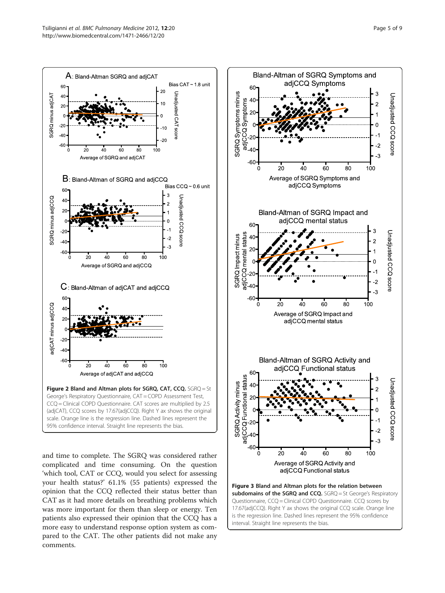<span id="page-4-0"></span>

and time to complete. The SGRQ was considered rather complicated and time consuming. On the question 'which tool, CAT or CCQ, would you select for assessing your health status?' 61.1% (55 patients) expressed the opinion that the CCQ reflected their status better than CAT as it had more details on breathing problems which was more important for them than sleep or energy. Ten patients also expressed their opinion that the CCQ has a more easy to understand response option system as compared to the CAT. The other patients did not make any comments.

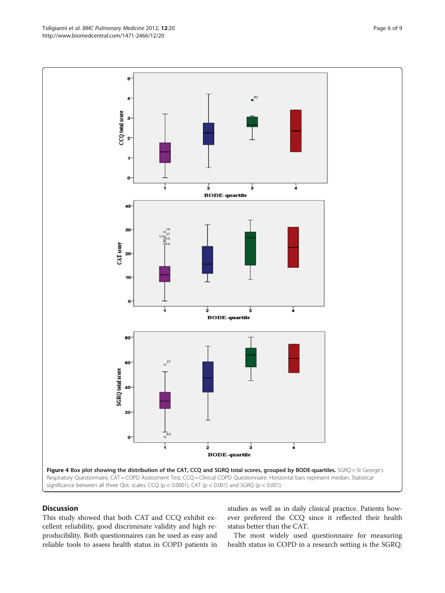This study showed that both CAT and CCQ exhibit excellent reliability, good discriminate validity and high reproducibility. Both questionnaires can be used as easy and reliable tools to assess health status in COPD patients in

Discussion

studies as well as in daily clinical practice. Patients however preferred the CCQ since it reflected their health status better than the CAT.

The most widely used questionnaire for measuring health status in COPD in a research setting is the SGRQ.

<span id="page-5-0"></span>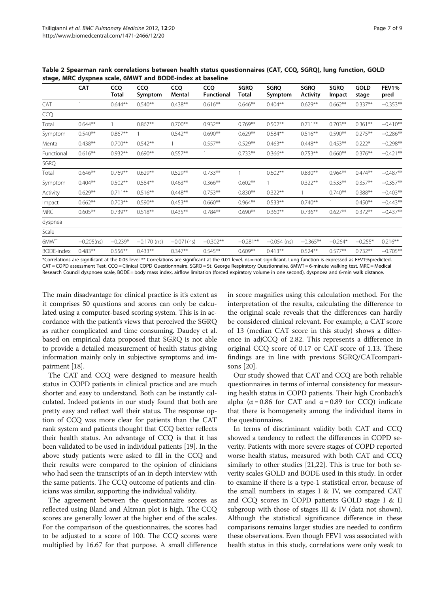|                   | <b>CAT</b>    | <b>CCQ</b><br>Total | cco<br>Symptom | <b>CCQ</b><br>Mental | <b>CCO</b><br><b>Functional</b> | <b>SGRO</b><br>Total | <b>SGRO</b><br>Symptom | <b>SGRQ</b><br><b>Activity</b> | <b>SGRO</b><br>Impact | <b>GOLD</b><br>stage | FEV1%<br>pred |
|-------------------|---------------|---------------------|----------------|----------------------|---------------------------------|----------------------|------------------------|--------------------------------|-----------------------|----------------------|---------------|
| CAT               |               | $0.644**$           | $0.540**$      | $0.438**$            | $0.616***$                      | $0.646**$            | $0.404***$             | $0.629**$                      | $0.662**$             | $0.337**$            | $-0.353**$    |
| CCQ               |               |                     |                |                      |                                 |                      |                        |                                |                       |                      |               |
| Total             | $0.644**$     |                     | $0.867**$      | $0.700**$            | $0.932**$                       | $0.769**$            | $0.502**$              | $0.711***$                     | $0.703**$             | $0.361**$            | $-0.410**$    |
| Symptom           | $0.540**$     | $0.867**$           |                | $0.542**$            | $0.690**$                       | $0.629**$            | $0.584**$              | $0.516***$                     | $0.590**$             | $0.275***$           | $-0.286**$    |
| Mental            | $0.438**$     | $0.700**$           | $0.542**$      |                      | $0.557**$                       | $0.529**$            | $0.463***$             | $0.448**$                      | $0.453**$             | $0.222*$             | $-0.298**$    |
| Functional        | $0.616**$     | $0.932**$           | $0.690**$      | $0.557**$            |                                 | $0.733**$            | $0.366***$             | $0.753**$                      | $0.660**$             | $0.376***$           | $-0.421**$    |
| <b>SGRQ</b>       |               |                     |                |                      |                                 |                      |                        |                                |                       |                      |               |
| Total             | $0.646**$     | $0.769**$           | $0.629**$      | $0.529**$            | $0.733**$                       |                      | $0.602**$              | $0.830**$                      | $0.964**$             | $0.474**$            | $-0.487**$    |
| Symptom           | $0.404***$    | $0.502**$           | $0.584**$      | $0.463**$            | $0.366**$                       | $0.602**$            |                        | $0.322**$                      | $0.533**$             | $0.357**$            | $-0.357**$    |
| Activity          | $0.629**$     | $0.711**$           | $0.516**$      | $0.448**$            | $0.753***$                      | $0.830**$            | $0.322**$              |                                | $0.740**$             | $0.388**$            | $-0.403**$    |
| Impact            | $0.662**$     | $0.703**$           | $0.590**$      | $0.453**$            | $0.660**$                       | $0.964**$            | $0.533**$              | $0.740**$                      |                       | $0.450**$            | $-0.443**$    |
| <b>MRC</b>        | $0.605***$    | $0.739**$           | $0.518**$      | $0.435***$           | $0.784**$                       | $0.690**$            | $0.360**$              | $0.736***$                     | $0.627**$             | $0.372**$            | $-0.437**$    |
| dyspnea           |               |                     |                |                      |                                 |                      |                        |                                |                       |                      |               |
| Scale             |               |                     |                |                      |                                 |                      |                        |                                |                       |                      |               |
| 6MWT              | $-0.205$ (ns) | $-0.239*$           | $-0.170$ (ns)  | $-0.071$ (ns)        | $-0.302**$                      | $-0.281**$           | $-0.054$ (ns)          | $-0.365**$                     | $-0.264*$             | $-0.255*$            | $0.216***$    |
| <b>BODE-index</b> | $0.483**$     | $0.556**$           | $0.433**$      | $0.347**$            | $0.545***$                      | $0.609**$            | $0.413***$             | $0.524**$                      | $0.577**$             | $0.732**$            | $-0.705**$    |

<span id="page-6-0"></span>Table 2 Spearman rank correlations between health status questionnaires (CAT, CCQ, SGRQ), lung function, GOLD stage, MRC dyspnea scale, 6MWT and BODE-index at baseline

\*Correlations are significant at the 0.05 level \*\* Correlations are significant at the 0.01 level. ns = not significant. Lung function is expressed as FEV1%predicted. CAT = COPD assessment Test. CCQ = Clinical COPD Questionnnaire. SGRQ = St. George Respiratory Questionnaire. 6MWT = 6-minute walking test. MRC = Medical Research Council dyspnoea scale, BODE = body mass index, airflow limitation (forced expiratory volume in one second), dyspnoea and 6-min walk distance.

The main disadvantage for clinical practice is it's extent as it comprises 50 questions and scores can only be calculated using a computer-based scoring system. This is in accordance with the patient's views that perceived the SGRQ as rather complicated and time consuming. Daudey et al. based on empirical data proposed that SGRQ is not able to provide a detailed measurement of health status giving information mainly only in subjective symptoms and impairment [\[18](#page-8-0)].

The CAT and CCQ were designed to measure health status in COPD patients in clinical practice and are much shorter and easy to understand. Both can be instantly calculated. Indeed patients in our study found that both are pretty easy and reflect well their status. The response option of CCQ was more clear for patients than the CAT rank system and patients thought that CCQ better reflects their health status. An advantage of CCQ is that it has been validated to be used in individual patients [\[19](#page-8-0)]. In the above study patients were asked to fill in the CCQ and their results were compared to the opinion of clinicians who had seen the transcripts of an in depth interview with the same patients. The CCQ outcome of patients and clinicians was similar, supporting the individual validity.

The agreement between the questionnaire scores as reflected using Bland and Altman plot is high. The CCQ scores are generally lower at the higher end of the scales. For the comparison of the questionnaires, the scores had to be adjusted to a score of 100. The CCQ scores were multiplied by 16.67 for that purpose. A small difference

in score magnifies using this calculation method. For the interpretation of the results, calculating the difference to the original scale reveals that the differences can hardly be considered clinical relevant. For example, a CAT score of 13 (median CAT score in this study) shows a difference in adjCCQ of 2.82. This represents a difference in original CCQ score of 0.17 or CAT score of 1.13. These findings are in line with previous SGRQ/CATcomparisons [[20\]](#page-8-0).

Our study showed that CAT and CCQ are both reliable questionnaires in terms of internal consistency for measuring health status in COPD patients. Their high Cronbach's alpha ( $\alpha$  = 0.86 for CAT and  $\alpha$  = 0.89 for CCQ) indicate that there is homogeneity among the individual items in the questionnaires.

In terms of discriminant validity both CAT and CCQ showed a tendency to reflect the differences in COPD severity. Patients with more severe stages of COPD reported worse health status, measured with both CAT and CCQ similarly to other studies [\[21,22\]](#page-8-0). This is true for both severity scales GOLD and BODE used in this study. In order to examine if there is a type-1 statistical error, because of the small numbers in stages I & IV, we compared CAT and CCQ scores in COPD patients GOLD stage I & II subgroup with those of stages III & IV (data not shown). Although the statistical significance difference in these comparisons remains larger studies are needed to confirm these observations. Even though FEV1 was associated with health status in this study, correlations were only weak to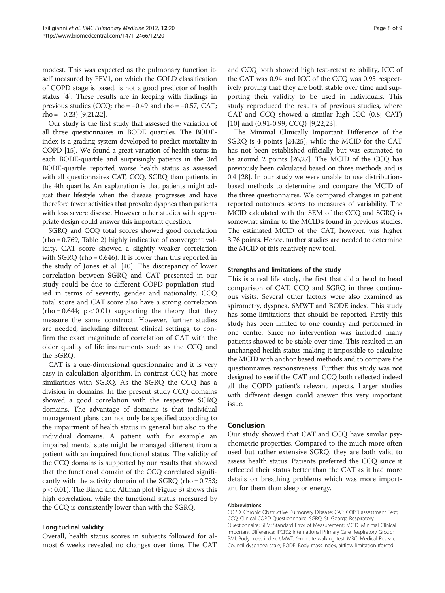modest. This was expected as the pulmonary function itself measured by FEV1, on which the GOLD classification of COPD stage is based, is not a good predictor of health status [\[4](#page-8-0)]. These results are in keeping with findings in previous studies (CCQ; rho =  $-0.49$  and rho =  $-0.57$ , CAT;  $rho = -0.23$  [\[9,21,22](#page-8-0)].

Our study is the first study that assessed the variation of all three questionnaires in BODE quartiles. The BODEindex is a grading system developed to predict mortality in COPD [\[15\]](#page-8-0). We found a great variation of health status in each BODE-quartile and surprisingly patients in the 3rd BODE-quartile reported worse health status as assessed with all questionnaires CAT, CCQ, SGRQ than patients in the 4th quartile. An explanation is that patients might adjust their lifestyle when the disease progresses and have therefore fewer activities that provoke dyspnea than patients with less severe disease. However other studies with appropriate design could answer this important question.

SGRQ and CCQ total scores showed good correlation (rho = 0.769, Table [2\)](#page-6-0) highly indicative of convergent validity. CAT score showed a slightly weaker correlation with SGRQ (rho = 0.646). It is lower than this reported in the study of Jones et al. [\[10\]](#page-8-0). The discrepancy of lower correlation between SGRQ and CAT presented in our study could be due to different COPD population studied in terms of severity, gender and nationality. CCQ total score and CAT score also have a strong correlation  $(rho = 0.644; p < 0.01)$  supporting the theory that they measure the same construct. However, further studies are needed, including different clinical settings, to confirm the exact magnitude of correlation of CAT with the older quality of life instruments such as the CCQ and the SGRQ.

CAT is a one-dimensional questionnaire and it is very easy in calculation algorithm. In contrast CCQ has more similarities with SGRQ. As the SGRQ the CCQ has a division in domains. In the present study CCQ domains showed a good correlation with the respective SGRQ domains. The advantage of domains is that individual management plans can not only be specified according to the impairment of health status in general but also to the individual domains. A patient with for example an impaired mental state might be managed different from a patient with an impaired functional status. The validity of the CCQ domains is supported by our results that showed that the functional domain of the CCQ correlated significantly with the activity domain of the SGRQ (rho = 0.753;  $p < 0.01$ ). The Bland and Altman plot (Figure [3\)](#page-4-0) shows this high correlation, while the functional status measured by the CCQ is consistently lower than with the SGRQ.

#### Longitudinal validity

Overall, health status scores in subjects followed for almost 6 weeks revealed no changes over time. The CAT

and CCQ both showed high test-retest reliability, ICC of the CAT was 0.94 and ICC of the CCQ was 0.95 respectively proving that they are both stable over time and supporting their validity to be used in individuals. This study reproduced the results of previous studies, where CAT and CCQ showed a similar high ICC (0.8; CAT) [[10\]](#page-8-0) and (0.91-0.99; CCQ) [[9,22,23\]](#page-8-0).

The Minimal Clinically Important Difference of the SGRQ is 4 points [[24,25\]](#page-8-0), while the MCID for the CAT has not been established officially but was estimated to be around 2 points [[26,27\]](#page-8-0). The MCID of the CCQ has previously been calculated based on three methods and is 0.4 [[28](#page-8-0)]. In our study we were unable to use distributionbased methods to determine and compare the MCID of the three questionnaires. We compared changes in patient reported outcomes scores to measures of variability. The MCID calculated with the SEM of the CCQ and SGRQ is somewhat similar to the MCID's found in previous studies. The estimated MCID of the CAT, however, was higher 3.76 points. Hence, further studies are needed to determine the MCID of this relatively new tool.

#### Strengths and limitations of the study

This is a real life study, the first that did a head to head comparison of CAT, CCQ and SGRQ in three continuous visits. Several other factors were also examined as spirometry, dyspnea, 6MWT and BODE index. This study has some limitations that should be reported. Firstly this study has been limited to one country and performed in one centre. Since no intervention was included many patients showed to be stable over time. This resulted in an unchanged health status making it impossible to calculate the MCID with anchor based methods and to compare the questionnaires responsiveness. Further this study was not designed to see if the CAT and CCQ both reflected indeed all the COPD patient's relevant aspects. Larger studies with different design could answer this very important issue.

#### Conclusion

Our study showed that CAT and CCQ have similar psychometric properties. Compared to the much more often used but rather extensive SGRQ, they are both valid to assess health status. Patients preferred the CCQ since it reflected their status better than the CAT as it had more details on breathing problems which was more important for them than sleep or energy.

#### Abbreviations

COPD: Chronic Obstructive Pulmonary Disease; CAT: COPD assessment Test; CCQ: Clinical COPD Questionnnaire; SGRQ: St. George Respiratory Questionnaire; SEM: Standard Error of Measurement; MCID: Minimal Clinical Important Difference; IPCRG: International Primary Care Respiratory Group; BMI: Body mass index; 6MWT: 6-minute walking test; MRC: Medical Research Council dyspnoea scale; BODE: Body mass index, airflow limitation (forced